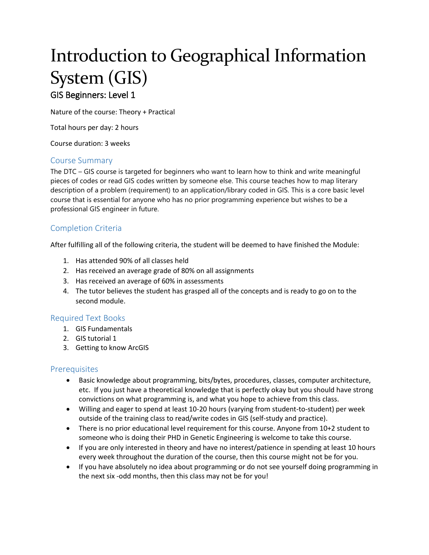# Introduction to Geographical Information System (GIS)

# GIS Beginners: Level 1

Nature of the course: Theory + Practical

Total hours per day: 2 hours

Course duration: 3 weeks

#### Course Summary

The DTC – GIS course is targeted for beginners who want to learn how to think and write meaningful pieces of codes or read GIS codes written by someone else. This course teaches how to map literary description of a problem (requirement) to an application/library coded in GIS. This is a core basic level course that is essential for anyone who has no prior programming experience but wishes to be a professional GIS engineer in future.

#### Completion Criteria

After fulfilling all of the following criteria, the student will be deemed to have finished the Module:

- 1. Has attended 90% of all classes held
- 2. Has received an average grade of 80% on all assignments
- 3. Has received an average of 60% in assessments
- 4. The tutor believes the student has grasped all of the concepts and is ready to go on to the second module.

#### Required Text Books

- 1. GIS Fundamentals
- 2. GIS tutorial 1
- 3. Getting to know ArcGIS

#### Prerequisites

- Basic knowledge about programming, bits/bytes, procedures, classes, computer architecture, etc. If you just have a theoretical knowledge that is perfectly okay but you should have strong convictions on what programming is, and what you hope to achieve from this class.
- Willing and eager to spend at least 10-20 hours (varying from student-to-student) per week outside of the training class to read/write codes in GIS (self-study and practice).
- There is no prior educational level requirement for this course. Anyone from 10+2 student to someone who is doing their PHD in Genetic Engineering is welcome to take this course.
- If you are only interested in theory and have no interest/patience in spending at least 10 hours every week throughout the duration of the course, then this course might not be for you.
- If you have absolutely no idea about programming or do not see yourself doing programming in the next six -odd months, then this class may not be for you!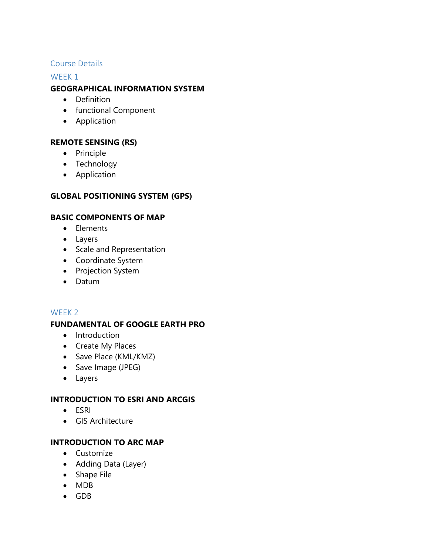## Course Details

#### WEEK 1

## **GEOGRAPHICAL INFORMATION SYSTEM**

- Definition
- functional Component
- Application

## **REMOTE SENSING (RS)**

- Principle
- Technology
- Application

# **GLOBAL POSITIONING SYSTEM (GPS)**

## **BASIC COMPONENTS OF MAP**

- Elements
- Layers
- Scale and Representation
- Coordinate System
- Projection System
- Datum

#### WEEK 2

#### **FUNDAMENTAL OF GOOGLE EARTH PRO**

- Introduction
- Create My Places
- Save Place (KML/KMZ)
- Save Image (JPEG)
- Layers

#### **INTRODUCTION TO ESRI AND ARCGIS**

- ESRI
- GIS Architecture

## **INTRODUCTION TO ARC MAP**

- Customize
- Adding Data (Layer)
- Shape File
- MDB
- GDB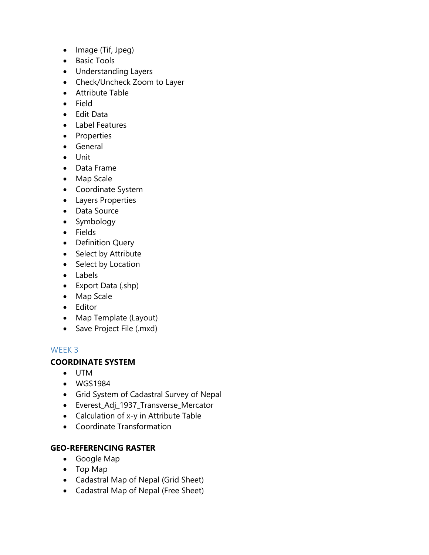- $\bullet$  Image (Tif, Jpeg)
- Basic Tools
- Understanding Layers
- Check/Uncheck Zoom to Layer
- Attribute Table
- Field
- Edit Data
- Label Features
- Properties
- General
- Unit
- Data Frame
- Map Scale
- Coordinate System
- Layers Properties
- Data Source
- Symbology
- Fields
- Definition Query
- Select by Attribute
- Select by Location
- Labels
- Export Data (.shp)
- Map Scale
- Editor
- Map Template (Layout)
- Save Project File (.mxd)

#### WEEK 3

#### **COORDINATE SYSTEM**

- UTM
- WGS1984
- Grid System of Cadastral Survey of Nepal
- Everest\_Adj\_1937\_Transverse\_Mercator
- Calculation of x-y in Attribute Table
- Coordinate Transformation

## **GEO-REFERENCING RASTER**

- Google Map
- Top Map
- Cadastral Map of Nepal (Grid Sheet)
- Cadastral Map of Nepal (Free Sheet)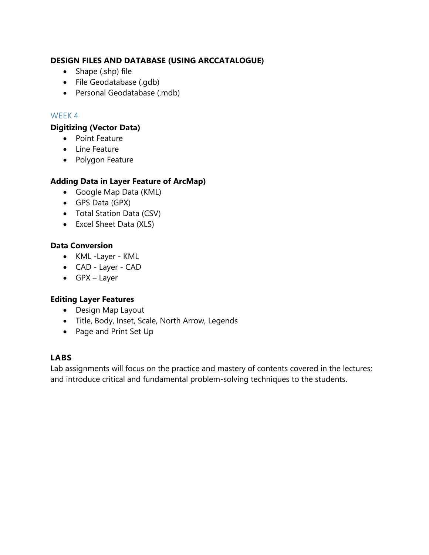## **DESIGN FILES AND DATABASE (USING ARCCATALOGUE)**

- Shape (.shp) file
- File Geodatabase (.gdb)
- Personal Geodatabase (.mdb)

## WEEK 4

#### **Digitizing (Vector Data)**

- Point Feature
- Line Feature
- Polygon Feature

## **Adding Data in Layer Feature of ArcMap)**

- Google Map Data (KML)
- GPS Data (GPX)
- Total Station Data (CSV)
- Excel Sheet Data (XLS)

#### **Data Conversion**

- KML -Layer KML
- CAD Layer CAD
- GPX Layer

#### **Editing Layer Features**

- Design Map Layout
- Title, Body, Inset, Scale, North Arrow, Legends
- Page and Print Set Up

#### **LABS**

Lab assignments will focus on the practice and mastery of contents covered in the lectures; and introduce critical and fundamental problem-solving techniques to the students.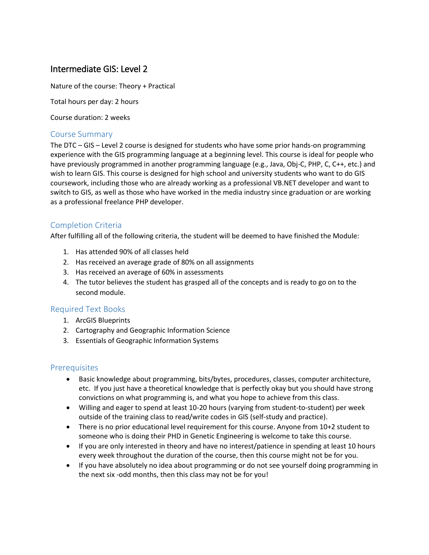# Intermediate GIS: Level 2

Nature of the course: Theory + Practical

Total hours per day: 2 hours

Course duration: 2 weeks

#### Course Summary

The DTC – GIS – Level 2 course is designed for students who have some prior hands-on programming experience with the GIS programming language at a beginning level. This course is ideal for people who have previously programmed in another programming language (e.g., Java, Obj-C, PHP, C, C++, etc.) and wish to learn GIS. This course is designed for high school and university students who want to do GIS coursework, including those who are already working as a professional VB.NET developer and want to switch to GIS, as well as those who have worked in the media industry since graduation or are working as a professional freelance PHP developer.

## Completion Criteria

After fulfilling all of the following criteria, the student will be deemed to have finished the Module:

- 1. Has attended 90% of all classes held
- 2. Has received an average grade of 80% on all assignments
- 3. Has received an average of 60% in assessments
- 4. The tutor believes the student has grasped all of the concepts and is ready to go on to the second module.

#### Required Text Books

- 1. ArcGIS Blueprints
- 2. Cartography and Geographic Information Science
- 3. Essentials of Geographic Information Systems

#### **Prerequisites**

- Basic knowledge about programming, bits/bytes, procedures, classes, computer architecture, etc. If you just have a theoretical knowledge that is perfectly okay but you should have strong convictions on what programming is, and what you hope to achieve from this class.
- Willing and eager to spend at least 10-20 hours (varying from student-to-student) per week outside of the training class to read/write codes in GIS (self-study and practice).
- There is no prior educational level requirement for this course. Anyone from 10+2 student to someone who is doing their PHD in Genetic Engineering is welcome to take this course.
- If you are only interested in theory and have no interest/patience in spending at least 10 hours every week throughout the duration of the course, then this course might not be for you.
- If you have absolutely no idea about programming or do not see yourself doing programming in the next six -odd months, then this class may not be for you!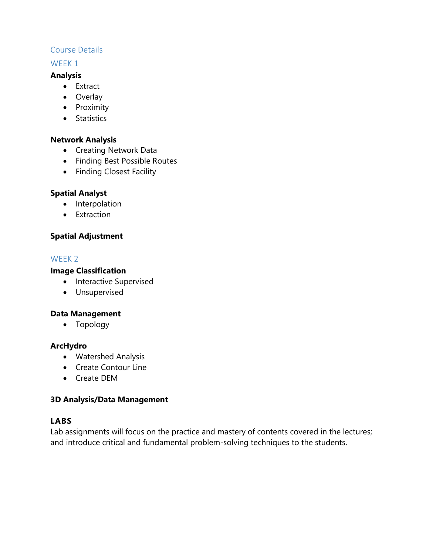## Course Details

## WEEK 1

#### **Analysis**

- Extract
- Overlay
- Proximity
- Statistics

#### **Network Analysis**

- Creating Network Data
- Finding Best Possible Routes
- Finding Closest Facility

## **Spatial Analyst**

- Interpolation
- Extraction

## **Spatial Adjustment**

#### WEEK 2

#### **Image Classification**

- Interactive Supervised
- Unsupervised

#### **Data Management**

Topology

#### **ArcHydro**

- Watershed Analysis
- Create Contour Line
- Create DEM

#### **3D Analysis/Data Management**

## **LABS**

Lab assignments will focus on the practice and mastery of contents covered in the lectures; and introduce critical and fundamental problem-solving techniques to the students.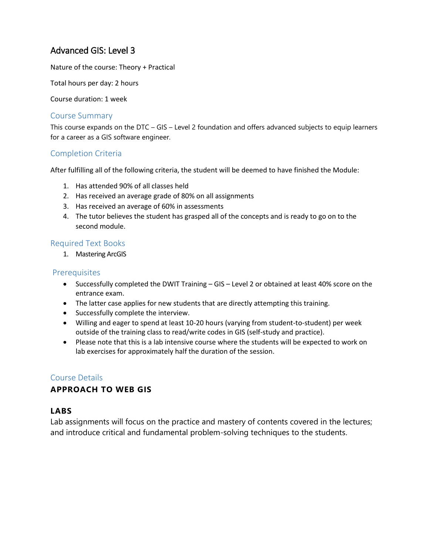# Advanced GIS: Level 3

Nature of the course: Theory + Practical

Total hours per day: 2 hours

Course duration: 1 week

#### Course Summary

This course expands on the DTC – GIS – Level 2 foundation and offers advanced subjects to equip learners for a career as a GIS software engineer.

#### Completion Criteria

After fulfilling all of the following criteria, the student will be deemed to have finished the Module:

- 1. Has attended 90% of all classes held
- 2. Has received an average grade of 80% on all assignments
- 3. Has received an average of 60% in assessments
- 4. The tutor believes the student has grasped all of the concepts and is ready to go on to the second module.

#### Required Text Books

1. Mastering ArcGIS

#### Prerequisites

- Successfully completed the DWIT Training GIS Level 2 or obtained at least 40% score on the entrance exam.
- The latter case applies for new students that are directly attempting this training.
- Successfully complete the interview.
- Willing and eager to spend at least 10-20 hours (varying from student-to-student) per week outside of the training class to read/write codes in GIS (self-study and practice).
- Please note that this is a lab intensive course where the students will be expected to work on lab exercises for approximately half the duration of the session.

#### Course Details

#### **APPROACH TO WEB GIS**

#### **LABS**

Lab assignments will focus on the practice and mastery of contents covered in the lectures; and introduce critical and fundamental problem-solving techniques to the students.